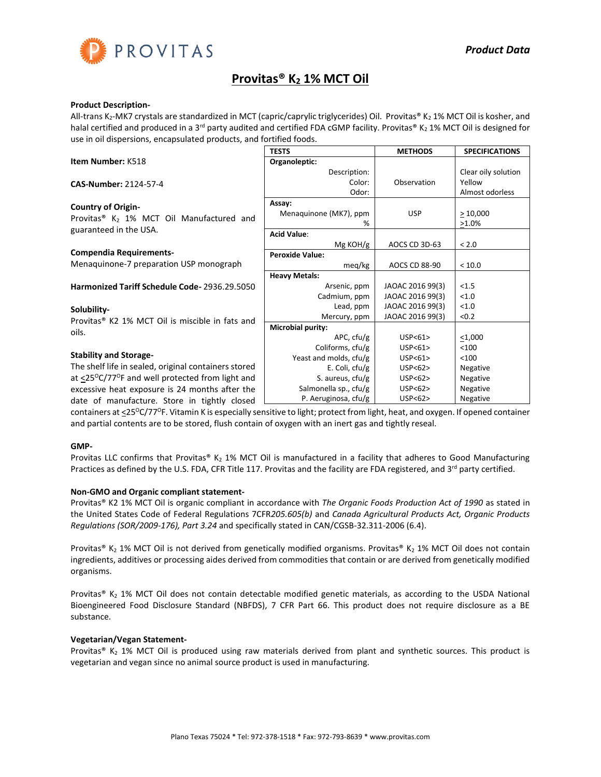

# **Provitas® K<sup>2</sup> 1% MCT Oil**

# **Product Description-**

All-trans K<sub>2</sub>-MK7 crystals are standardized in MCT (capric/caprylic triglycerides) Oil. Provitas® K<sub>2</sub> 1% MCT Oil is kosher, and halal certified and produced in a 3<sup>rd</sup> party audited and certified FDA cGMP facility. Provitas® K<sub>2</sub> 1% MCT Oil is designed for use in oil dispersions, encapsulated products, and fortified foods.

|                                                                        | <b>TESTS</b>             | <b>METHODS</b>   | <b>SPECIFICATIONS</b> |
|------------------------------------------------------------------------|--------------------------|------------------|-----------------------|
| Item Number: K518                                                      | Organoleptic:            |                  |                       |
|                                                                        | Description:             |                  | Clear oily solution   |
| CAS-Number: 2124-57-4                                                  | Color:                   | Observation      | Yellow                |
|                                                                        | Odor:                    |                  | Almost odorless       |
| <b>Country of Origin-</b>                                              | Assay:                   |                  |                       |
| Provitas <sup>®</sup> K <sub>2</sub> 1% MCT Oil Manufactured and       | Menaquinone (MK7), ppm   | <b>USP</b>       | >10,000               |
|                                                                        | %                        |                  | $>1.0\%$              |
| guaranteed in the USA.                                                 | <b>Acid Value:</b>       |                  |                       |
|                                                                        | Mg KOH/g                 | AOCS CD 3D-63    | < 2.0                 |
| <b>Compendia Requirements-</b>                                         | <b>Peroxide Value:</b>   |                  |                       |
| Menaquinone-7 preparation USP monograph                                | meg/kg                   | AOCS CD 88-90    | < 10.0                |
|                                                                        | <b>Heavy Metals:</b>     |                  |                       |
| Harmonized Tariff Schedule Code-2936.29.5050                           | Arsenic, ppm             | JAOAC 2016 99(3) | < 1.5                 |
|                                                                        | Cadmium, ppm             | JAOAC 2016 99(3) | < 1.0                 |
| Solubility-                                                            | Lead, ppm                | JAOAC 2016 99(3) | < 1.0                 |
| Provitas <sup>®</sup> K2 1% MCT Oil is miscible in fats and            | Mercury, ppm             | JAOAC 2016 99(3) | < 0.2                 |
| oils.                                                                  | <b>Microbial purity:</b> |                  |                       |
|                                                                        | APC, cfu/g               | USP < 61         | $<$ 1,000             |
|                                                                        | Coliforms, cfu/g         | USP<61           | < 100                 |
| <b>Stability and Storage-</b>                                          | Yeast and molds, cfu/g   | USP < 61         | < 100                 |
| The shelf life in sealed, original containers stored                   | E. Coli, $ctu/g$         | USP<62>          | Negative              |
| at $\langle 25^{\circ}C/77^{\circ}F$ and well protected from light and | S. aureus, cfu/g         | USP < 62         | Negative              |
| excessive heat exposure is 24 months after the                         | Salmonella sp., cfu/g    | USP < 62         | Negative              |
| date of manufacture. Store in tightly closed                           | P. Aeruginosa, cfu/g     | USP<62>          | Negative              |

containers at <25<sup>o</sup>C/77<sup>o</sup>F. Vitamin K is especially sensitive to light; protect from light, heat, and oxygen. If opened container and partial contents are to be stored, flush contain of oxygen with an inert gas and tightly reseal.

## **GMP-**

Provitas LLC confirms that Provitas® K<sub>2</sub> 1% MCT Oil is manufactured in a facility that adheres to Good Manufacturing Practices as defined by the U.S. FDA, CFR Title 117. Provitas and the facility are FDA registered, and 3<sup>rd</sup> party certified.

# **Non-GMO and Organic compliant statement-**

Provitas® K2 1% MCT Oil is organic compliant in accordance with *The Organic Foods Production Act of 1990* as stated in the United States Code of Federal Regulations 7CFR*205.605(b)* and *Canada Agricultural Products Act, Organic Products Regulations (SOR/2009-176), Part 3.24* and specifically stated in CAN/CGSB-32.311-2006 (6.4).

Provitas® K<sub>2</sub> 1% MCT Oil is not derived from genetically modified organisms. Provitas® K<sub>2</sub> 1% MCT Oil does not contain ingredients, additives or processing aides derived from commodities that contain or are derived from genetically modified organisms.

Provitas® K<sub>2</sub> 1% MCT Oil does not contain detectable modified genetic materials, as according to the USDA National Bioengineered Food Disclosure Standard (NBFDS), 7 CFR Part 66. This product does not require disclosure as a BE substance.

# **Vegetarian/Vegan Statement-**

Provitas®  $K_2$  1% MCT Oil is produced using raw materials derived from plant and synthetic sources. This product is vegetarian and vegan since no animal source product is used in manufacturing.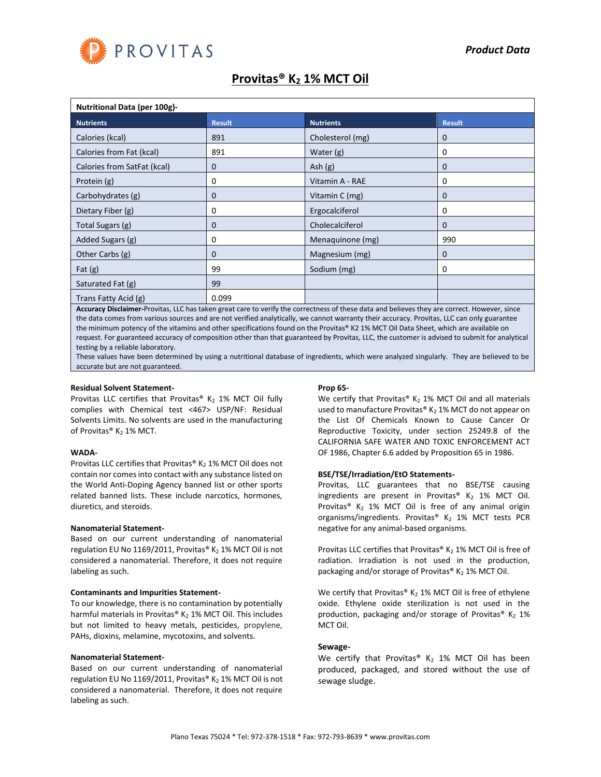

# **Provitas® K<sup>2</sup> 1% MCT Oil**

| <b>Nutritional Data (per 100g)-</b> |               |                  |               |  |  |
|-------------------------------------|---------------|------------------|---------------|--|--|
| <b>Nutrients</b>                    | <b>Result</b> | <b>Nutrients</b> | <b>Result</b> |  |  |
| Calories (kcal)                     | 891           | Cholesterol (mg) | 0             |  |  |
| Calories from Fat (kcal)            | 891           | Water $(g)$      | 0             |  |  |
| Calories from SatFat (kcal)         | 0             | Ash $(g)$        | 0             |  |  |
| Protein (g)                         | 0             | Vitamin A - RAE  | 0             |  |  |
| Carbohydrates (g)                   | 0             | Vitamin C (mg)   | 0             |  |  |
| Dietary Fiber (g)                   | 0             | Ergocalciferol   | 0             |  |  |
| Total Sugars (g)                    | 0             | Cholecalciferol  | 0             |  |  |
| Added Sugars (g)                    | 0             | Menaquinone (mg) | 990           |  |  |
| Other Carbs (g)                     | 0             | Magnesium (mg)   | 0             |  |  |
| Fat $(g)$                           | 99            | Sodium (mg)      | 0             |  |  |
| Saturated Fat (g)                   | 99            |                  |               |  |  |
| Trans Fatty Acid (g)                | 0.099         |                  |               |  |  |

**Accuracy Disclaimer-**Provitas, LLC has taken great care to verify the correctness of these data and believes they are correct. However, since the data comes from various sources and are not verified analytically, we cannot warranty their accuracy. Provitas, LLC can only guarantee the minimum potency of the vitamins and other specifications found on the Provitas® K2 1% MCT Oil Data Sheet, which are available on request. For guaranteed accuracy of composition other than that guaranteed by Provitas, LLC, the customer is advised to submit for analytical testing by a reliable laboratory.

These values have been determined by using a nutritional database of ingredients, which were analyzed singularly. They are believed to be accurate but are not guaranteed.

#### **Residual Solvent Statement-**

Provitas LLC certifies that Provitas® K<sub>2</sub> 1% MCT Oil fully complies with Chemical test <467> USP/NF: Residual Solvents Limits. No solvents are used in the manufacturing of Provitas® K<sub>2</sub> 1% MCT.

#### **WADA-**

Provitas LLC certifies that Provitas®  $K_2$  1% MCT Oil does not contain nor comes into contact with any substance listed on the World Anti-Doping Agency banned list or other sports related banned lists. These include narcotics, hormones, diuretics, and steroids.

#### **Nanomaterial Statement-**

Based on our current understanding of nanomaterial regulation EU No 1169/2011, Provitas® K<sub>2</sub> 1% MCT Oil is not considered a nanomaterial. Therefore, it does not require labeling as such.

#### **Contaminants and Impurities Statement-**

To our knowledge, there is no contamination by potentially harmful materials in Provitas®  $K_2$  1% MCT Oil. This includes but not limited to heavy metals, pesticides, propylene, PAHs, dioxins, melamine, mycotoxins, and solvents.

#### **Nanomaterial Statement-**

Based on our current understanding of nanomaterial regulation EU No 1169/2011, Provitas® K<sub>2</sub> 1% MCT Oil is not considered a nanomaterial. Therefore, it does not require labeling as such.

### **Prop 65-**

We certify that Provitas®  $K_2$  1% MCT Oil and all materials used to manufacture Provitas®  $K_2$  1% MCT do not appear on the List Of Chemicals Known to Cause Cancer Or Reproductive Toxicity, under section 25249.8 of the CALIFORNIA SAFE WATER AND TOXIC ENFORCEMENT ACT OF 1986, Chapter 6.6 added by Proposition 65 in 1986.

## **BSE/TSE/Irradiation/EtO Statements-**

Provitas, LLC guarantees that no BSE/TSE causing ingredients are present in Provitas®  $K_2$  1% MCT Oil. Provitas<sup>®</sup> K<sub>2</sub> 1% MCT Oil is free of any animal origin organisms/ingredients. Provitas®  $K_2$  1% MCT tests PCR negative for any animal-based organisms.

Provitas LLC certifies that Provitas® K<sub>2</sub> 1% MCT Oil is free of radiation. Irradiation is not used in the production, packaging and/or storage of Provitas®  $K_2$  1% MCT Oil.

We certify that Provitas®  $K_2$  1% MCT Oil is free of ethylene oxide. Ethylene oxide sterilization is not used in the production, packaging and/or storage of Provitas® K<sub>2</sub> 1% MCT Oil.

## **Sewage-**

We certify that Provitas®  $K_2$  1% MCT Oil has been produced, packaged, and stored without the use of sewage sludge.